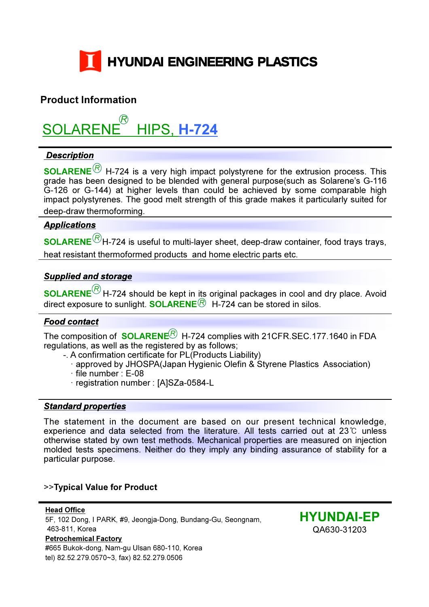

### Product Information

SOLARENE HIPS, H-724 R

### **Description**

SOLARENE $^{\textcircled{\textrm{R}}}$  H-724 is a very high impact polystyrene for the extrusion process. This grade has been designed to be blended with general purpose(such as Solarene's G-116 G-126 or G-144) at higher levels than could be achieved by some comparable high impact polystyrenes. The good melt strength of this grade makes it particularly suited for deep-draw thermoforming.

### **Applications**

 $\mathsf{\mathbf{SOLARENE}}^{\mathcal{\mathcal{B}}}$ H-724 is useful to multi-layer sheet, deep-draw container, food trays trays, heat resistant thermoformed products and home electric parts etc.

### Supplied and storage

 $\mathsf{\mathbf{SOLARENE}}^{\mathsf{\mathcal{Q}}}$ H-724 should be kept in its original packages in cool and dry place. Avoid direct exposure to sunlight. **SOLARENE** $\textcircled{R}$  H-724 can be stored in silos.

### Food contact

The composition of  $\,{\sf SOLARENE}^{\bigcirc}\,$  H-724 complies with 21CFR.SEC.177.1640 in FDA regulations, as well as the registered by as follows;

- -. A confirmation certificate for PL(Products Liability)
	- approved by JHOSPA(Japan Hygienic Olefin & Styrene Plastics Association)
	- file number : E-08
	- registration number : [A]SZa-0584-L

#### Standard properties

The statement in the document are based on our present technical knowledge, experience and data selected from the literature. All tests carried out at 23℃ unless otherwise stated by own test methods. Mechanical properties are measured on injection molded tests specimens. Neither do they imply any binding assurance of stability for a particular purpose.

### >>Typical Value for Product

Head Office 5F, 102 Dong, I PARK, #9, Jeongja-Dong, Bundang-Gu, Seongnam, 463-811, Korea Petrochemical Factory #665 Bukok-dong, Nam-gu Ulsan 680-110, Korea tel) 82.52.279.0570~3, fax) 82.52.279.0506

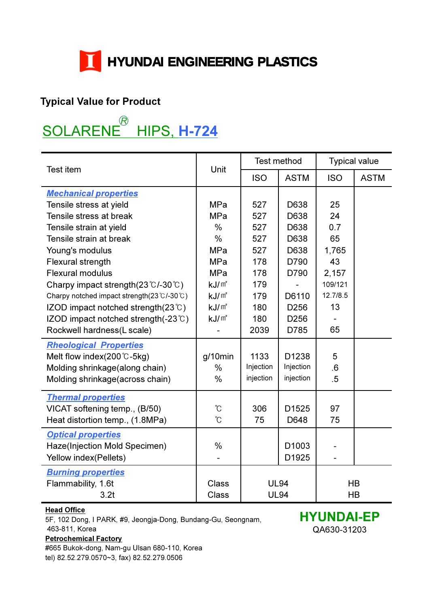

### Typical Value for Product

# $\overline{a}$  HIPS, H-724 SOLARENE<sup>®</sup>

|                                                        |                   | Test method       |                   | <b>Typical value</b>     |             |
|--------------------------------------------------------|-------------------|-------------------|-------------------|--------------------------|-------------|
| Test item                                              | Unit              | <b>ISO</b>        | <b>ASTM</b>       | <b>ISO</b>               | <b>ASTM</b> |
| <b>Mechanical properties</b>                           |                   |                   |                   |                          |             |
| Tensile stress at yield                                | <b>MPa</b>        | 527               | D638              | 25                       |             |
| Tensile stress at break                                | <b>MPa</b>        | 527               | D638              | 24                       |             |
| Tensile strain at yield                                | $\frac{0}{0}$     | 527               | D638              | 0.7                      |             |
| Tensile strain at break                                | $\frac{0}{0}$     | 527               | D638              | 65                       |             |
| Young's modulus                                        | <b>MPa</b>        | 527               | D638              | 1,765                    |             |
| Flexural strength                                      | <b>MPa</b>        | 178               | D790              | 43                       |             |
| <b>Flexural modulus</b>                                | <b>MPa</b>        | 178               | D790              | 2,157                    |             |
| Charpy impact strength $(23 \degree C - 30 \degree C)$ | kJ/m <sup>2</sup> | 179               |                   | 109/121                  |             |
| Charpy notched impact strength(23℃/-30℃)               | kJ/m <sup>2</sup> | 179               | D6110             | 12.7/8.5                 |             |
| IZOD impact notched strength $(23^{\circ}C)$           | kJ/m <sup>2</sup> | 180               | D <sub>256</sub>  | 13                       |             |
| IZOD impact notched strength(-23°C)                    | kJ/m <sup>2</sup> | 180               | D256              |                          |             |
| Rockwell hardness(L scale)                             |                   | 2039              | D785              | 65                       |             |
| <b>Rheological Properties</b>                          |                   |                   |                   |                          |             |
| Melt flow index( $200^{\circ}$ C-5kg)                  | $g/10$ min        | 1133              | D1238             | 5                        |             |
| Molding shrinkage(along chain)                         | $\%$              | Injection         | Injection         | .6                       |             |
| Molding shrinkage(across chain)                        | $\frac{0}{0}$     | injection         | injection         | .5                       |             |
| <b>Thermal properties</b>                              |                   |                   |                   |                          |             |
| VICAT softening temp., (B/50)                          | $\rm ^{\circ}\!C$ | 306               | D1525             | 97                       |             |
| Heat distortion temp., (1.8MPa)                        | °C                | 75                | D648              | 75                       |             |
| <b>Optical properties</b>                              |                   |                   |                   |                          |             |
| Haze(Injection Mold Specimen)                          | $\frac{0}{0}$     |                   | D <sub>1003</sub> |                          |             |
| Yellow index(Pellets)                                  |                   |                   | D1925             | $\overline{\phantom{0}}$ |             |
| <b>Burning properties</b>                              |                   |                   |                   |                          |             |
| Flammability, 1.6t                                     | <b>Class</b>      | <b>UL94</b>       |                   | HB                       |             |
| 3.2t                                                   | Class             | <b>UL94</b><br>HB |                   |                          |             |

### **Head Office**

5F, 102 Dong, I PARK, #9, Jeongja-Dong, Bundang-Gu, Seongnam, 463-811, Korea Petrochemical Factory

#665 Bukok-dong, Nam-gu Ulsan 680-110, Korea tel) 82.52.279.0570~3, fax) 82.52.279.0506

HYUNDAI-EP QA630-31203